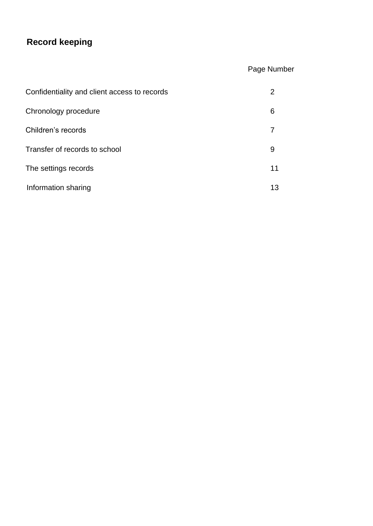# **Record keeping**

## Page Number

| Confidentiality and client access to records |    |
|----------------------------------------------|----|
| Chronology procedure                         | 6  |
| Children's records                           |    |
| Transfer of records to school                | 9  |
| The settings records                         | 11 |
| Information sharing                          | 13 |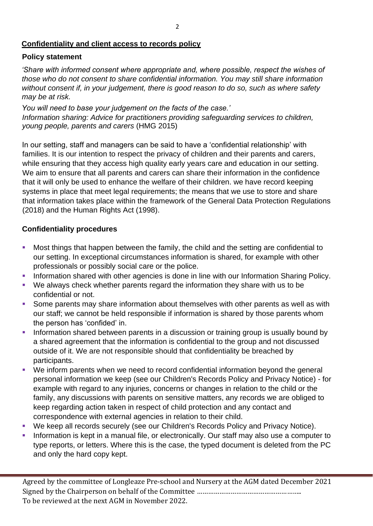#### **Confidentiality and client access to records policy**

#### **Policy statement**

*'Share with informed consent where appropriate and, where possible, respect the wishes of those who do not consent to share confidential information. You may still share information without consent if, in your judgement, there is good reason to do so, such as where safety may be at risk.* 

*You will need to base your judgement on the facts of the case.' Information sharing: Advice for practitioners providing safeguarding services to children, young people, parents and carers* (HMG 2015)

In our setting, staff and managers can be said to have a 'confidential relationship' with families. It is our intention to respect the privacy of children and their parents and carers, while ensuring that they access high quality early years care and education in our setting. We aim to ensure that all parents and carers can share their information in the confidence that it will only be used to enhance the welfare of their children. we have record keeping systems in place that meet legal requirements; the means that we use to store and share that information takes place within the framework of the General Data Protection Regulations (2018) and the Human Rights Act (1998).

#### **Confidentiality procedures**

- Most things that happen between the family, the child and the setting are confidential to our setting. In exceptional circumstances information is shared, for example with other professionals or possibly social care or the police.
- Information shared with other agencies is done in line with our Information Sharing Policy.
- We always check whether parents regard the information they share with us to be confidential or not.
- Some parents may share information about themselves with other parents as well as with our staff; we cannot be held responsible if information is shared by those parents whom the person has 'confided' in.
- **•** Information shared between parents in a discussion or training group is usually bound by a shared agreement that the information is confidential to the group and not discussed outside of it. We are not responsible should that confidentiality be breached by participants.
- We inform parents when we need to record confidential information beyond the general personal information we keep (see our Children's Records Policy and Privacy Notice) - for example with regard to any injuries, concerns or changes in relation to the child or the family, any discussions with parents on sensitive matters, any records we are obliged to keep regarding action taken in respect of child protection and any contact and correspondence with external agencies in relation to their child.
- We keep all records securely (see our Children's Records Policy and Privacy Notice).
- Information is kept in a manual file, or electronically. Our staff may also use a computer to type reports, or letters. Where this is the case, the typed document is deleted from the PC and only the hard copy kept.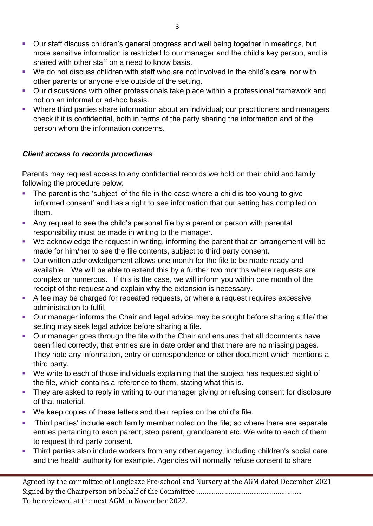- Our staff discuss children's general progress and well being together in meetings, but more sensitive information is restricted to our manager and the child's key person, and is shared with other staff on a need to know basis.
- We do not discuss children with staff who are not involved in the child's care, nor with other parents or anyone else outside of the setting.
- Our discussions with other professionals take place within a professional framework and not on an informal or ad-hoc basis.
- Where third parties share information about an individual; our practitioners and managers check if it is confidential, both in terms of the party sharing the information and of the person whom the information concerns.

#### *Client access to records procedures*

Parents may request access to any confidential records we hold on their child and family following the procedure below:

- The parent is the 'subject' of the file in the case where a child is too young to give 'informed consent' and has a right to see information that our setting has compiled on them.
- Any request to see the child's personal file by a parent or person with parental responsibility must be made in writing to the manager.
- We acknowledge the request in writing, informing the parent that an arrangement will be made for him/her to see the file contents, subject to third party consent.
- Our written acknowledgement allows one month for the file to be made ready and available. We will be able to extend this by a further two months where requests are complex or numerous. If this is the case, we will inform you within one month of the receipt of the request and explain why the extension is necessary.
- A fee may be charged for repeated requests, or where a request requires excessive administration to fulfil.
- Our manager informs the Chair and legal advice may be sought before sharing a file/ the setting may seek legal advice before sharing a file.
- Our manager goes through the file with the Chair and ensures that all documents have been filed correctly, that entries are in date order and that there are no missing pages. They note any information, entry or correspondence or other document which mentions a third party.
- We write to each of those individuals explaining that the subject has requested sight of the file, which contains a reference to them, stating what this is.
- **•** They are asked to reply in writing to our manager giving or refusing consent for disclosure of that material.
- We keep copies of these letters and their replies on the child's file.
- 'Third parties' include each family member noted on the file; so where there are separate entries pertaining to each parent, step parent, grandparent etc. We write to each of them to request third party consent.
- Third parties also include workers from any other agency, including children's social care and the health authority for example. Agencies will normally refuse consent to share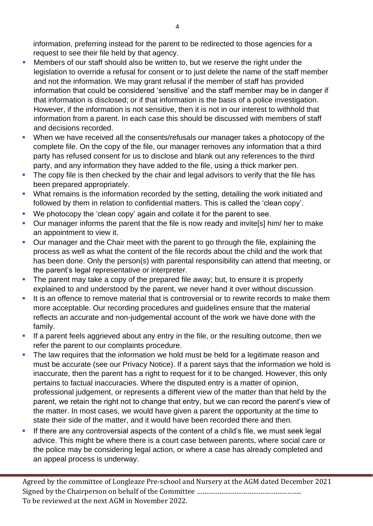information, preferring instead for the parent to be redirected to those agencies for a request to see their file held by that agency.

- Members of our staff should also be written to, but we reserve the right under the legislation to override a refusal for consent or to just delete the name of the staff member and not the information. We may grant refusal if the member of staff has provided information that could be considered 'sensitive' and the staff member may be in danger if that information is disclosed; or if that information is the basis of a police investigation. However, if the information is not sensitive, then it is not in our interest to withhold that information from a parent. In each case this should be discussed with members of staff and decisions recorded.
- When we have received all the consents/refusals our manager takes a photocopy of the complete file. On the copy of the file, our manager removes any information that a third party has refused consent for us to disclose and blank out any references to the third party, and any information they have added to the file, using a thick marker pen.
- **•** The copy file is then checked by the chair and legal advisors to verify that the file has been prepared appropriately.
- What remains is the information recorded by the setting, detailing the work initiated and followed by them in relation to confidential matters. This is called the 'clean copy'.
- We photocopy the 'clean copy' again and collate it for the parent to see.
- Our manager informs the parent that the file is now ready and invite[s] him/ her to make an appointment to view it.
- Our manager and the Chair meet with the parent to go through the file, explaining the process as well as what the content of the file records about the child and the work that has been done. Only the person(s) with parental responsibility can attend that meeting, or the parent's legal representative or interpreter.
- The parent may take a copy of the prepared file away; but, to ensure it is properly explained to and understood by the parent, we never hand it over without discussion.
- **EXTE:** It is an offence to remove material that is controversial or to rewrite records to make them more acceptable. Our recording procedures and guidelines ensure that the material reflects an accurate and non-judgemental account of the work we have done with the family.
- **.** If a parent feels aggrieved about any entry in the file, or the resulting outcome, then we refer the parent to our complaints procedure.
- The law requires that the information we hold must be held for a legitimate reason and must be accurate (see our Privacy Notice). If a parent says that the information we hold is inaccurate, then the parent has a right to request for it to be changed. However, this only pertains to factual inaccuracies. Where the disputed entry is a matter of opinion, professional judgement, or represents a different view of the matter than that held by the parent, we retain the right not to change that entry, but we can record the parent's view of the matter. In most cases, we would have given a parent the opportunity at the time to state their side of the matter, and it would have been recorded there and then.
- **EXTE:** If there are any controversial aspects of the content of a child's file, we must seek legal advice. This might be where there is a court case between parents, where social care or the police may be considering legal action, or where a case has already completed and an appeal process is underway.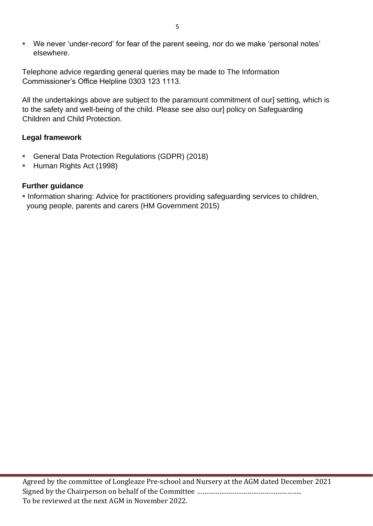■ We never 'under-record' for fear of the parent seeing, nor do we make 'personal notes' elsewhere.

Telephone advice regarding general queries may be made to The Information Commissioner's Office Helpline 0303 123 1113.

All the undertakings above are subject to the paramount commitment of our] setting, which is to the safety and well-being of the child. Please see also our] policy on Safeguarding Children and Child Protection.

#### **Legal framework**

- General Data Protection Regulations (GDPR) (2018)
- **E** Human Rights Act (1998)

#### **Further guidance**

**.** Information sharing: Advice for practitioners providing safeguarding services to children, young people, parents and carers (HM Government 2015)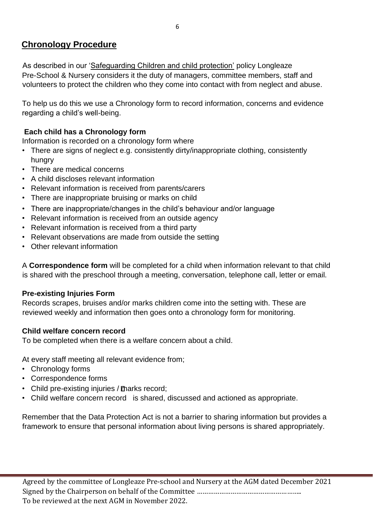## **Chronology Procedure**

As described in our 'Safeguarding Children and child protection' policy Longleaze Pre-School & Nursery considers it the duty of managers, committee members, staff and volunteers to protect the children who they come into contact with from neglect and abuse.

To help us do this we use a Chronology form to record information, concerns and evidence regarding a child's well-being.

#### **Each child has a Chronology form**

Information is recorded on a chronology form where

- There are signs of neglect e.g. consistently dirty/inappropriate clothing, consistently hungry
- There are medical concerns
- A child discloses relevant information
- Relevant information is received from parents/carers
- There are inappropriate bruising or marks on child
- There are inappropriate/changes in the child's behaviour and/or language
- Relevant information is received from an outside agency
- Relevant information is received from a third party
- Relevant observations are made from outside the setting
- Other relevant information

A **Correspondence form** will be completed for a child when information relevant to that child is shared with the preschool through a meeting, conversation, telephone call, letter or email.

#### **Pre-existing Injuries Form**

Records scrapes, bruises and/or marks children come into the setting with. These are reviewed weekly and information then goes onto a chronology form for monitoring.

#### **Child welfare concern record**

To be completed when there is a welfare concern about a child.

At every staff meeting all relevant evidence from;

- Chronology forms
- Correspondence forms
- Child pre-existing injuries / Tharks record;
- Child welfare concern record is shared, discussed and actioned as appropriate.

Remember that the Data Protection Act is not a barrier to sharing information but provides a framework to ensure that personal information about living persons is shared appropriately.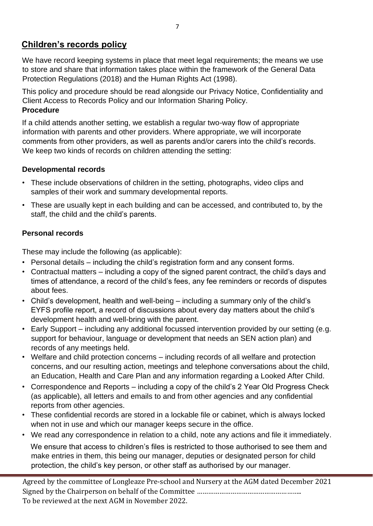## **Children's records policy**

We have record keeping systems in place that meet legal requirements; the means we use to store and share that information takes place within the framework of the General Data Protection Regulations (2018) and the Human Rights Act (1998).

This policy and procedure should be read alongside our Privacy Notice, Confidentiality and Client Access to Records Policy and our Information Sharing Policy. **Procedure** 

If a child attends another setting, we establish a regular two-way flow of appropriate information with parents and other providers. Where appropriate, we will incorporate comments from other providers, as well as parents and/or carers into the child's records. We keep two kinds of records on children attending the setting:

#### **Developmental records**

- These include observations of children in the setting, photographs, video clips and samples of their work and summary developmental reports.
- These are usually kept in each building and can be accessed, and contributed to, by the staff, the child and the child's parents.

#### **Personal records**

These may include the following (as applicable):

- Personal details including the child's registration form and any consent forms.
- Contractual matters including a copy of the signed parent contract, the child's days and times of attendance, a record of the child's fees, any fee reminders or records of disputes about fees.
- Child's development, health and well-being including a summary only of the child's EYFS profile report, a record of discussions about every day matters about the child's development health and well-bring with the parent.
- Early Support including any additional focussed intervention provided by our setting (e.g. support for behaviour, language or development that needs an SEN action plan) and records of any meetings held.
- Welfare and child protection concerns including records of all welfare and protection concerns, and our resulting action, meetings and telephone conversations about the child, an Education, Health and Care Plan and any information regarding a Looked After Child.
- Correspondence and Reports including a copy of the child's 2 Year Old Progress Check (as applicable), all letters and emails to and from other agencies and any confidential reports from other agencies.
- These confidential records are stored in a lockable file or cabinet, which is always locked when not in use and which our manager keeps secure in the office.
- We read any correspondence in relation to a child, note any actions and file it immediately.

 We ensure that access to children's files is restricted to those authorised to see them and make entries in them, this being our manager, deputies or designated person for child protection, the child's key person, or other staff as authorised by our manager.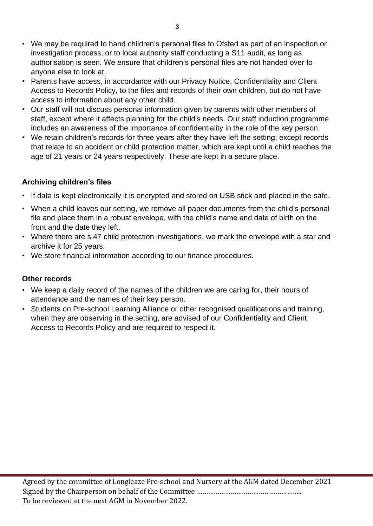- We may be required to hand children's personal files to Ofsted as part of an inspection or investigation process; or to local authority staff conducting a S11 audit, as long as authorisation is seen. We ensure that children's personal files are not handed over to anyone else to look at.
- Parents have access, in accordance with our Privacy Notice, Confidentiality and Client Access to Records Policy, to the files and records of their own children, but do not have access to information about any other child.
- Our staff will not discuss personal information given by parents with other members of staff, except where it affects planning for the child's needs. Our staff induction programme includes an awareness of the importance of confidentiality in the role of the key person.
- We retain children's records for three years after they have left the setting; except records that relate to an accident or child protection matter, which are kept until a child reaches the age of 21 years or 24 years respectively. These are kept in a secure place.

### **Archiving children's files**

- If data is kept electronically it is encrypted and stored on USB stick and placed in the safe.
- When a child leaves our setting, we remove all paper documents from the child's personal file and place them in a robust envelope, with the child's name and date of birth on the front and the date they left.
- Where there are s.47 child protection investigations, we mark the envelope with a star and archive it for 25 years.
- We store financial information according to our finance procedures.

#### **Other records**

- We keep a daily record of the names of the children we are caring for, their hours of attendance and the names of their key person.
- Students on Pre-school Learning Alliance or other recognised qualifications and training, when they are observing in the setting, are advised of our Confidentiality and Client Access to Records Policy and are required to respect it.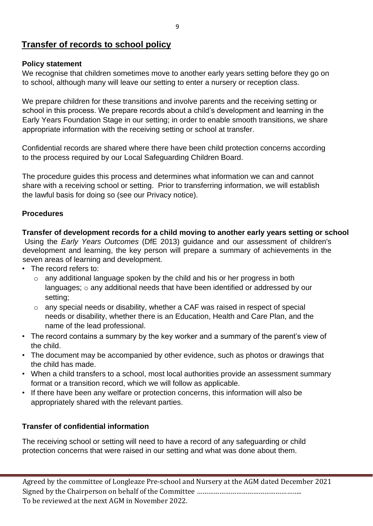## **Transfer of records to school policy**

#### **Policy statement**

We recognise that children sometimes move to another early years setting before they go on to school, although many will leave our setting to enter a nursery or reception class.

We prepare children for these transitions and involve parents and the receiving setting or school in this process. We prepare records about a child's development and learning in the Early Years Foundation Stage in our setting; in order to enable smooth transitions, we share appropriate information with the receiving setting or school at transfer.

Confidential records are shared where there have been child protection concerns according to the process required by our Local Safeguarding Children Board.

The procedure guides this process and determines what information we can and cannot share with a receiving school or setting. Prior to transferring information, we will establish the lawful basis for doing so (see our Privacy notice).

#### **Procedures**

**Transfer of development records for a child moving to another early years setting or school**  Using the *Early Years Outcomes* (DfE 2013) guidance and our assessment of children's development and learning, the key person will prepare a summary of achievements in the seven areas of learning and development.

- The record refers to:
	- o any additional language spoken by the child and his or her progress in both languages; o any additional needs that have been identified or addressed by our setting;
	- o any special needs or disability, whether a CAF was raised in respect of special needs or disability, whether there is an Education, Health and Care Plan, and the name of the lead professional.
- The record contains a summary by the key worker and a summary of the parent's view of the child.
- The document may be accompanied by other evidence, such as photos or drawings that the child has made.
- When a child transfers to a school, most local authorities provide an assessment summary format or a transition record, which we will follow as applicable.
- If there have been any welfare or protection concerns, this information will also be appropriately shared with the relevant parties.

#### **Transfer of confidential information**

The receiving school or setting will need to have a record of any safeguarding or child protection concerns that were raised in our setting and what was done about them.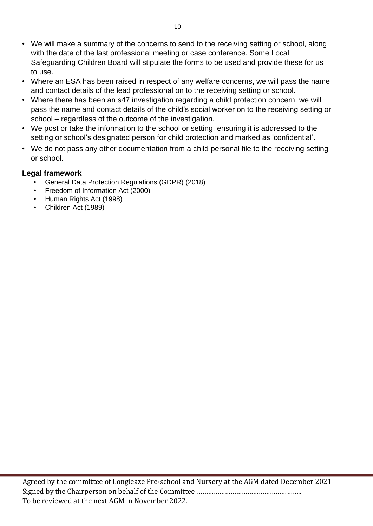- We will make a summary of the concerns to send to the receiving setting or school, along with the date of the last professional meeting or case conference. Some Local Safeguarding Children Board will stipulate the forms to be used and provide these for us to use.
- Where an ESA has been raised in respect of any welfare concerns, we will pass the name and contact details of the lead professional on to the receiving setting or school.
- Where there has been an s47 investigation regarding a child protection concern, we will pass the name and contact details of the child's social worker on to the receiving setting or school – regardless of the outcome of the investigation.
- We post or take the information to the school or setting, ensuring it is addressed to the setting or school's designated person for child protection and marked as 'confidential'.
- We do not pass any other documentation from a child personal file to the receiving setting or school.

#### **Legal framework**

- General Data Protection Regulations (GDPR) (2018)
- Freedom of Information Act (2000)
- Human Rights Act (1998)
- Children Act (1989)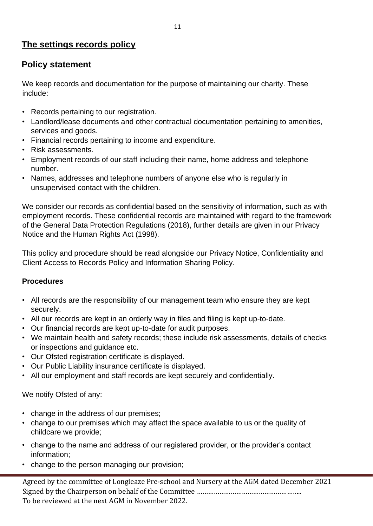## **The settings records policy**

## **Policy statement**

We keep records and documentation for the purpose of maintaining our charity. These include:

- Records pertaining to our registration.
- Landlord/lease documents and other contractual documentation pertaining to amenities, services and goods.
- Financial records pertaining to income and expenditure.
- Risk assessments.
- Employment records of our staff including their name, home address and telephone number.
- Names, addresses and telephone numbers of anyone else who is regularly in unsupervised contact with the children.

We consider our records as confidential based on the sensitivity of information, such as with employment records. These confidential records are maintained with regard to the framework of the General Data Protection Regulations (2018), further details are given in our Privacy Notice and the Human Rights Act (1998).

This policy and procedure should be read alongside our Privacy Notice, Confidentiality and Client Access to Records Policy and Information Sharing Policy.

#### **Procedures**

- All records are the responsibility of our management team who ensure they are kept securely.
- All our records are kept in an orderly way in files and filing is kept up-to-date.
- Our financial records are kept up-to-date for audit purposes.
- We maintain health and safety records; these include risk assessments, details of checks or inspections and guidance etc.
- Our Ofsted registration certificate is displayed.
- Our Public Liability insurance certificate is displayed.
- All our employment and staff records are kept securely and confidentially.

We notify Ofsted of any:

- change in the address of our premises;
- change to our premises which may affect the space available to us or the quality of childcare we provide;
- change to the name and address of our registered provider, or the provider's contact information;
- change to the person managing our provision;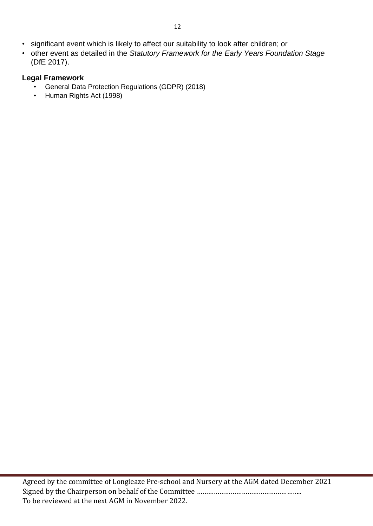- significant event which is likely to affect our suitability to look after children; or
- other event as detailed in the *Statutory Framework for the Early Years Foundation Stage* (DfE 2017).

#### **Legal Framework**

- General Data Protection Regulations (GDPR) (2018)
- Human Rights Act (1998)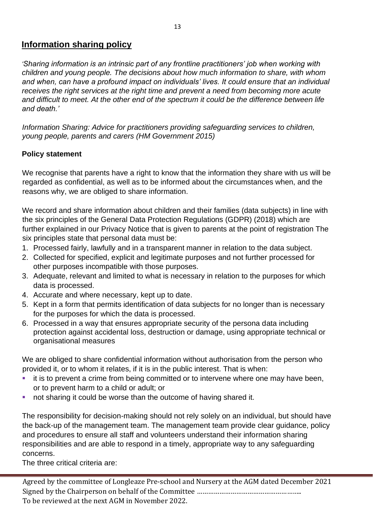## **Information sharing policy**

*'Sharing information is an intrinsic part of any frontline practitioners' job when working with children and young people. The decisions about how much information to share, with whom and when, can have a profound impact on individuals' lives. It could ensure that an individual receives the right services at the right time and prevent a need from becoming more acute and difficult to meet. At the other end of the spectrum it could be the difference between life and death.'* 

*Information Sharing: Advice for practitioners providing safeguarding services to children, young people, parents and carers (HM Government 2015)* 

#### **Policy statement**

We recognise that parents have a right to know that the information they share with us will be regarded as confidential, as well as to be informed about the circumstances when, and the reasons why, we are obliged to share information.

We record and share information about children and their families (data subjects) in line with the six principles of the General Data Protection Regulations (GDPR) (2018) which are further explained in our Privacy Notice that is given to parents at the point of registration The six principles state that personal data must be:

- 1. Processed fairly, lawfully and in a transparent manner in relation to the data subject.
- 2. Collected for specified, explicit and legitimate purposes and not further processed for other purposes incompatible with those purposes.
- 3. Adequate, relevant and limited to what is necessary in relation to the purposes for which data is processed.
- 4. Accurate and where necessary, kept up to date.
- 5. Kept in a form that permits identification of data subjects for no longer than is necessary for the purposes for which the data is processed.
- 6. Processed in a way that ensures appropriate security of the persona data including protection against accidental loss, destruction or damage, using appropriate technical or organisational measures

We are obliged to share confidential information without authorisation from the person who provided it, or to whom it relates, if it is in the public interest. That is when:

- it is to prevent a crime from being committed or to intervene where one may have been, or to prevent harm to a child or adult; or
- not sharing it could be worse than the outcome of having shared it.

The responsibility for decision-making should not rely solely on an individual, but should have the back-up of the management team. The management team provide clear guidance, policy and procedures to ensure all staff and volunteers understand their information sharing responsibilities and are able to respond in a timely, appropriate way to any safeguarding concerns.

The three critical criteria are: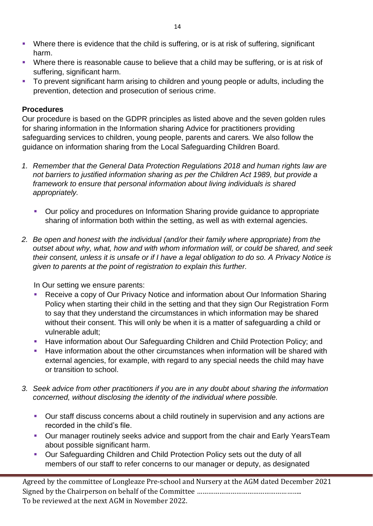- **•** Where there is evidence that the child is suffering, or is at risk of suffering, significant harm.
- **Where there is reasonable cause to believe that a child may be suffering, or is at risk of** suffering, significant harm.
- To prevent significant harm arising to children and young people or adults, including the prevention, detection and prosecution of serious crime.

#### **Procedures**

Our procedure is based on the GDPR principles as listed above and the seven golden rules for sharing information in the Information sharing Advice for practitioners providing safeguarding services to children, young people, parents and carers*.* We also follow the guidance on information sharing from the Local Safeguarding Children Board.

- *1. Remember that the General Data Protection Regulations 2018 and human rights law are not barriers to justified information sharing as per the Children Act 1989, but provide a framework to ensure that personal information about living individuals is shared appropriately.* 
	- Our policy and procedures on Information Sharing provide guidance to appropriate sharing of information both within the setting, as well as with external agencies.
- *2. Be open and honest with the individual (and/or their family where appropriate) from the outset about why, what, how and with whom information will, or could be shared, and seek their consent, unless it is unsafe or if I have a legal obligation to do so. A Privacy Notice is given to parents at the point of registration to explain this further.*

In Our setting we ensure parents:

- Receive a copy of Our Privacy Notice and information about Our Information Sharing Policy when starting their child in the setting and that they sign Our Registration Form to say that they understand the circumstances in which information may be shared without their consent. This will only be when it is a matter of safeguarding a child or vulnerable adult;
- Have information about Our Safeguarding Children and Child Protection Policy; and
- Have information about the other circumstances when information will be shared with external agencies, for example, with regard to any special needs the child may have or transition to school.
- *3. Seek advice from other practitioners if you are in any doubt about sharing the information concerned, without disclosing the identity of the individual where possible.* 
	- Our staff discuss concerns about a child routinely in supervision and any actions are recorded in the child's file.
	- **Our manager routinely seeks advice and support from the chair and Early YearsTeam** about possible significant harm.
	- Our Safeguarding Children and Child Protection Policy sets out the duty of all members of our staff to refer concerns to our manager or deputy, as designated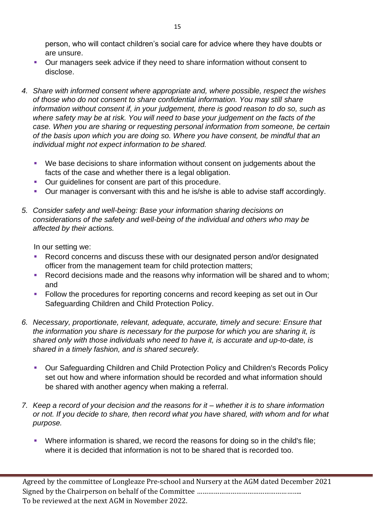person, who will contact children's social care for advice where they have doubts or are unsure.

- Our managers seek advice if they need to share information without consent to disclose.
- *4. Share with informed consent where appropriate and, where possible, respect the wishes of those who do not consent to share confidential information. You may still share information without consent if, in your judgement, there is good reason to do so, such as where safety may be at risk. You will need to base your judgement on the facts of the case. When you are sharing or requesting personal information from someone, be certain of the basis upon which you are doing so. Where you have consent, be mindful that an individual might not expect information to be shared.* 
	- We base decisions to share information without consent on judgements about the facts of the case and whether there is a legal obligation.
	- Our quidelines for consent are part of this procedure.
	- Our manager is conversant with this and he is/she is able to advise staff accordingly.
- *5. Consider safety and well-being: Base your information sharing decisions on considerations of the safety and well-being of the individual and others who may be affected by their actions.*

In our setting we:

- Record concerns and discuss these with our designated person and/or designated officer from the management team for child protection matters;
- Record decisions made and the reasons why information will be shared and to whom; and
- Follow the procedures for reporting concerns and record keeping as set out in Our Safeguarding Children and Child Protection Policy.
- *6. Necessary, proportionate, relevant, adequate, accurate, timely and secure: Ensure that the information you share is necessary for the purpose for which you are sharing it, is shared only with those individuals who need to have it, is accurate and up-to-date, is shared in a timely fashion, and is shared securely.* 
	- Our Safeguarding Children and Child Protection Policy and Children's Records Policy set out how and where information should be recorded and what information should be shared with another agency when making a referral.
- *7. Keep a record of your decision and the reasons for it – whether it is to share information or not. If you decide to share, then record what you have shared, with whom and for what purpose.* 
	- Where information is shared, we record the reasons for doing so in the child's file; where it is decided that information is not to be shared that is recorded too.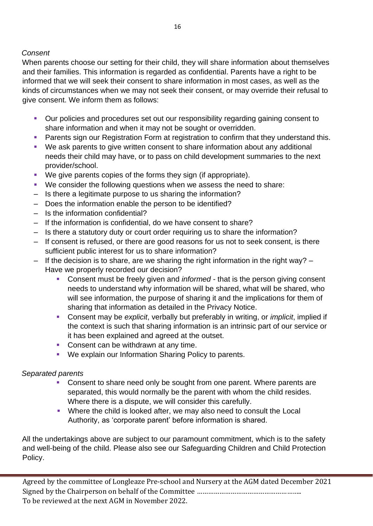#### *Consent*

When parents choose our setting for their child, they will share information about themselves and their families. This information is regarded as confidential. Parents have a right to be informed that we will seek their consent to share information in most cases, as well as the kinds of circumstances when we may not seek their consent, or may override their refusal to give consent. We inform them as follows:

- Our policies and procedures set out our responsibility regarding gaining consent to share information and when it may not be sought or overridden.
- **Parents sign our Registration Form at registration to confirm that they understand this.**
- We ask parents to give written consent to share information about any additional needs their child may have, or to pass on child development summaries to the next provider/school.
- We give parents copies of the forms they sign (if appropriate).
- We consider the following questions when we assess the need to share:
- Is there a legitimate purpose to us sharing the information?
- Does the information enable the person to be identified?
- Is the information confidential?
- If the information is confidential, do we have consent to share?
- Is there a statutory duty or court order requiring us to share the information?
- If consent is refused, or there are good reasons for us not to seek consent, is there sufficient public interest for us to share information?
- $-$  If the decision is to share, are we sharing the right information in the right way?  $-$ Have we properly recorded our decision?
	- Consent must be freely given and *informed* that is the person giving consent needs to understand why information will be shared, what will be shared, who will see information, the purpose of sharing it and the implications for them of sharing that information as detailed in the Privacy Notice.
	- Consent may be *explicit*, verbally but preferably in writing, or *implicit*, implied if the context is such that sharing information is an intrinsic part of our service or it has been explained and agreed at the outset.
	- Consent can be withdrawn at any time.
	- We explain our Information Sharing Policy to parents.

#### *Separated parents*

- Consent to share need only be sought from one parent. Where parents are separated, this would normally be the parent with whom the child resides. Where there is a dispute, we will consider this carefully.
- Where the child is looked after, we may also need to consult the Local Authority, as 'corporate parent' before information is shared.

All the undertakings above are subject to our paramount commitment, which is to the safety and well-being of the child. Please also see our Safeguarding Children and Child Protection Policy.